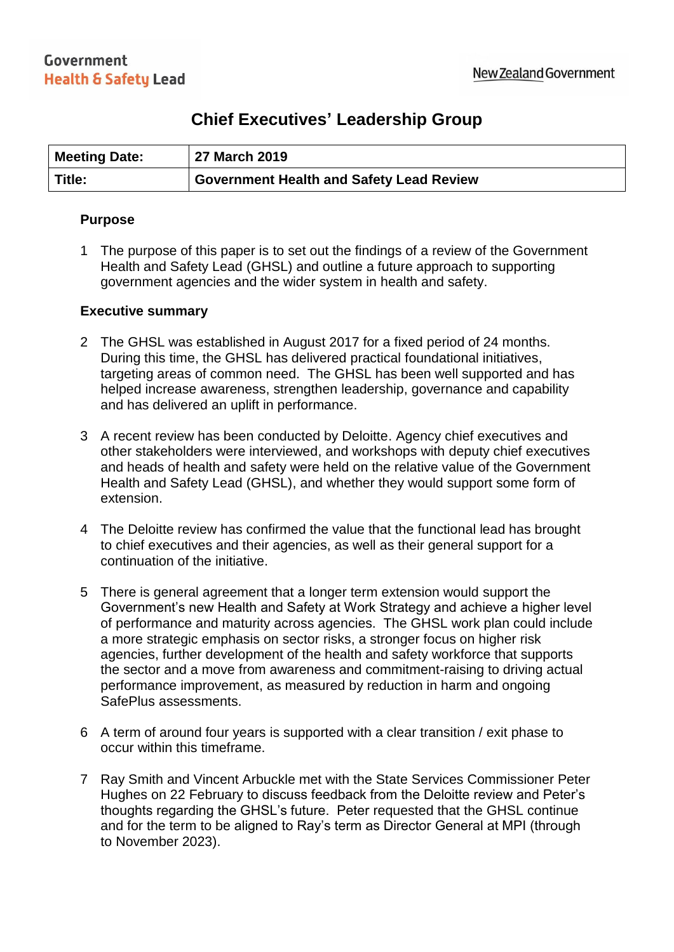# **Chief Executives' Leadership Group**

| <b>Meeting Date:</b> | 27 March 2019                            |
|----------------------|------------------------------------------|
| Title:               | Government Health and Safety Lead Review |

### **Purpose**

1 The purpose of this paper is to set out the findings of a review of the Government Health and Safety Lead (GHSL) and outline a future approach to supporting government agencies and the wider system in health and safety.

### **Executive summary**

- 2 The GHSL was established in August 2017 for a fixed period of 24 months. During this time, the GHSL has delivered practical foundational initiatives, targeting areas of common need. The GHSL has been well supported and has helped increase awareness, strengthen leadership, governance and capability and has delivered an uplift in performance.
- 3 A recent review has been conducted by Deloitte. Agency chief executives and other stakeholders were interviewed, and workshops with deputy chief executives and heads of health and safety were held on the relative value of the Government Health and Safety Lead (GHSL), and whether they would support some form of extension.
- 4 The Deloitte review has confirmed the value that the functional lead has brought to chief executives and their agencies, as well as their general support for a continuation of the initiative.
- 5 There is general agreement that a longer term extension would support the Government's new Health and Safety at Work Strategy and achieve a higher level of performance and maturity across agencies. The GHSL work plan could include a more strategic emphasis on sector risks, a stronger focus on higher risk agencies, further development of the health and safety workforce that supports the sector and a move from awareness and commitment-raising to driving actual performance improvement, as measured by reduction in harm and ongoing SafePlus assessments.
- 6 A term of around four years is supported with a clear transition / exit phase to occur within this timeframe.
- 7 Ray Smith and Vincent Arbuckle met with the State Services Commissioner Peter Hughes on 22 February to discuss feedback from the Deloitte review and Peter's thoughts regarding the GHSL's future. Peter requested that the GHSL continue and for the term to be aligned to Ray's term as Director General at MPI (through to November 2023).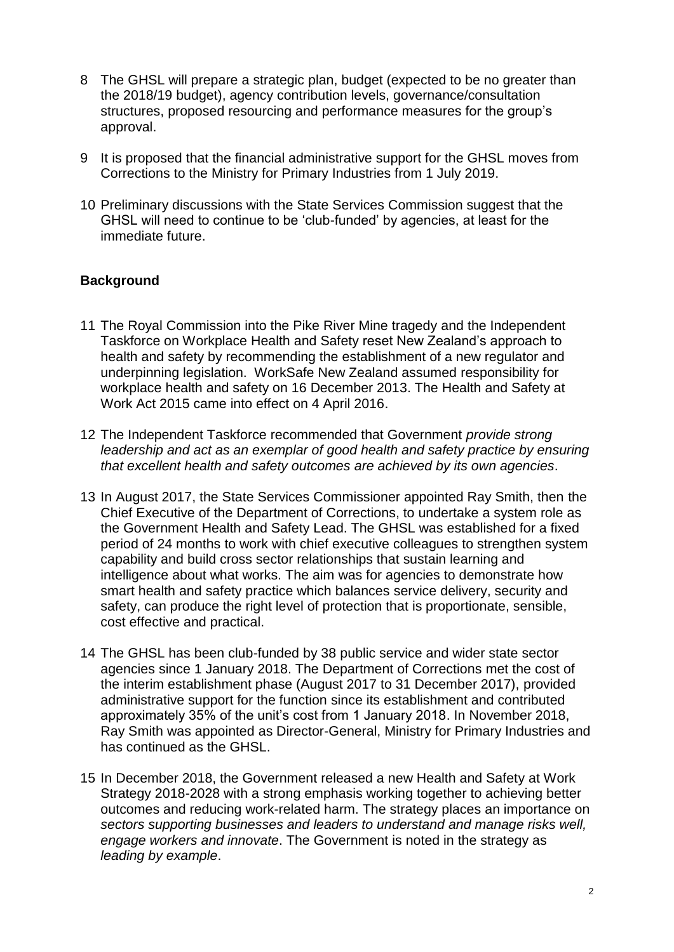- 8 The GHSL will prepare a strategic plan, budget (expected to be no greater than the 2018/19 budget), agency contribution levels, governance/consultation structures, proposed resourcing and performance measures for the group's approval.
- 9 It is proposed that the financial administrative support for the GHSL moves from Corrections to the Ministry for Primary Industries from 1 July 2019.
- 10 Preliminary discussions with the State Services Commission suggest that the GHSL will need to continue to be 'club-funded' by agencies, at least for the immediate future.

# **Background**

- 11 The Royal Commission into the Pike River Mine tragedy and the Independent Taskforce on Workplace Health and Safety reset New Zealand's approach to health and safety by recommending the establishment of a new regulator and underpinning legislation. WorkSafe New Zealand assumed responsibility for workplace health and safety on 16 December 2013. The Health and Safety at Work Act 2015 came into effect on 4 April 2016.
- 12 The Independent Taskforce recommended that Government *provide strong*  leadership and act as an exemplar of good health and safety practice by ensuring *that excellent health and safety outcomes are achieved by its own agencies*.
- 13 In August 2017, the State Services Commissioner appointed Ray Smith, then the Chief Executive of the Department of Corrections, to undertake a system role as the Government Health and Safety Lead. The GHSL was established for a fixed period of 24 months to work with chief executive colleagues to strengthen system capability and build cross sector relationships that sustain learning and intelligence about what works. The aim was for agencies to demonstrate how smart health and safety practice which balances service delivery, security and safety, can produce the right level of protection that is proportionate, sensible, cost effective and practical.
- 14 The GHSL has been club-funded by 38 public service and wider state sector agencies since 1 January 2018. The Department of Corrections met the cost of the interim establishment phase (August 2017 to 31 December 2017), provided administrative support for the function since its establishment and contributed approximately 35% of the unit's cost from 1 January 2018. In November 2018, Ray Smith was appointed as Director-General, Ministry for Primary Industries and has continued as the GHSL.
- 15 In December 2018, the Government released a new Health and Safety at Work Strategy 2018-2028 with a strong emphasis working together to achieving better outcomes and reducing work-related harm. The strategy places an importance on *sectors supporting businesses and leaders to understand and manage risks well, engage workers and innovate*. The Government is noted in the strategy as *leading by example*.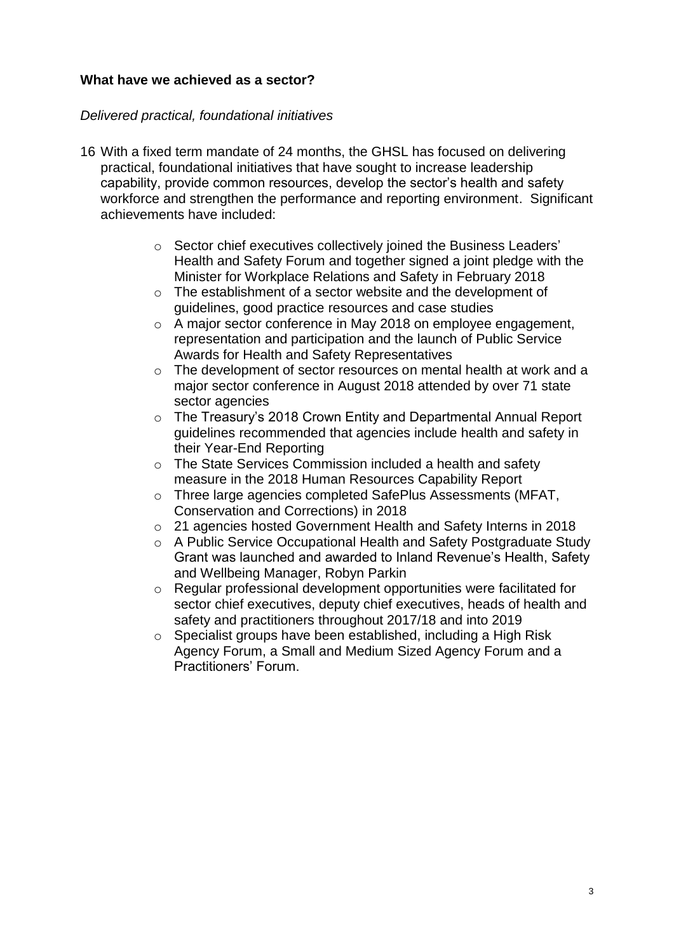# **What have we achieved as a sector?**

# *Delivered practical, foundational initiatives*

- 16 With a fixed term mandate of 24 months, the GHSL has focused on delivering practical, foundational initiatives that have sought to increase leadership capability, provide common resources, develop the sector's health and safety workforce and strengthen the performance and reporting environment. Significant achievements have included:
	- o Sector chief executives collectively joined the Business Leaders' Health and Safety Forum and together signed a joint pledge with the Minister for Workplace Relations and Safety in February 2018
	- o The establishment of a sector website and the development of guidelines, good practice resources and case studies
	- o A major sector conference in May 2018 on employee engagement, representation and participation and the launch of Public Service Awards for Health and Safety Representatives
	- $\circ$  The development of sector resources on mental health at work and a major sector conference in August 2018 attended by over 71 state sector agencies
	- o The Treasury's 2018 Crown Entity and Departmental Annual Report guidelines recommended that agencies include health and safety in their Year-End Reporting
	- o The State Services Commission included a health and safety measure in the 2018 Human Resources Capability Report
	- o Three large agencies completed SafePlus Assessments (MFAT, Conservation and Corrections) in 2018
	- o 21 agencies hosted Government Health and Safety Interns in 2018
	- o A Public Service Occupational Health and Safety Postgraduate Study Grant was launched and awarded to Inland Revenue's Health, Safety and Wellbeing Manager, Robyn Parkin
	- o Regular professional development opportunities were facilitated for sector chief executives, deputy chief executives, heads of health and safety and practitioners throughout 2017/18 and into 2019
	- o Specialist groups have been established, including a High Risk Agency Forum, a Small and Medium Sized Agency Forum and a Practitioners' Forum.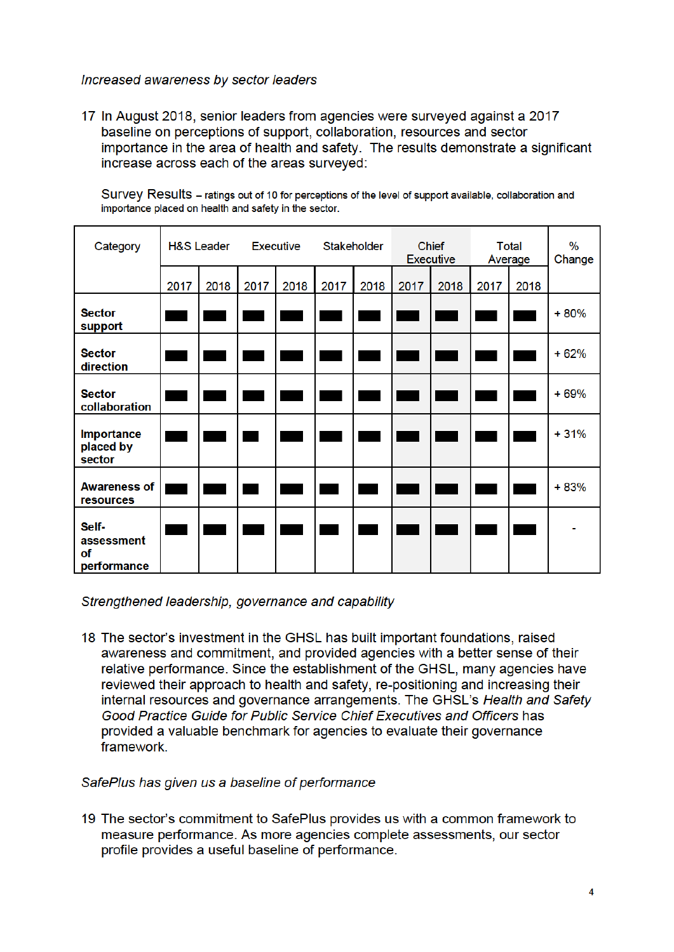### Increased awareness by sector leaders

17 In August 2018, senior leaders from agencies were surveyed against a 2017 baseline on perceptions of support, collaboration, resources and sector importance in the area of health and safety. The results demonstrate a significant increase across each of the areas surveyed:

Survey Results - ratings out of 10 for perceptions of the level of support available, collaboration and importance placed on health and safety in the sector.

| Category                                 | <b>H&amp;S Leader</b> |      | <b>Executive</b> |      | Stakeholder |      | <b>Chief</b><br><b>Executive</b> |      | Total<br>Average |      | %<br>Change |
|------------------------------------------|-----------------------|------|------------------|------|-------------|------|----------------------------------|------|------------------|------|-------------|
|                                          | 2017                  | 2018 | 2017             | 2018 | 2017        | 2018 | 2017                             | 2018 | 2017             | 2018 |             |
| <b>Sector</b><br>support                 |                       |      |                  |      |             |      |                                  |      |                  |      | $+80%$      |
| <b>Sector</b><br>direction               |                       |      |                  |      |             |      |                                  |      |                  |      | $+62%$      |
| <b>Sector</b><br>collaboration           |                       |      |                  |      |             |      |                                  |      |                  |      | $+69%$      |
| <b>Importance</b><br>placed by<br>sector |                       |      |                  |      |             |      |                                  |      |                  |      | $+31%$      |
| <b>Awareness of</b><br>resources         |                       |      |                  |      |             |      |                                  |      |                  |      | $+83%$      |
| Self-<br>assessment<br>of<br>performance |                       |      |                  |      |             |      |                                  |      |                  |      |             |

### Strengthened leadership, governance and capability

18 The sector's investment in the GHSL has built important foundations, raised awareness and commitment, and provided agencies with a better sense of their relative performance. Since the establishment of the GHSL, many agencies have reviewed their approach to health and safety, re-positioning and increasing their internal resources and governance arrangements. The GHSL's Health and Safety Good Practice Guide for Public Service Chief Executives and Officers has provided a valuable benchmark for agencies to evaluate their governance framework.

#### SafePlus has given us a baseline of performance

19 The sector's commitment to SafePlus provides us with a common framework to measure performance. As more agencies complete assessments, our sector profile provides a useful baseline of performance.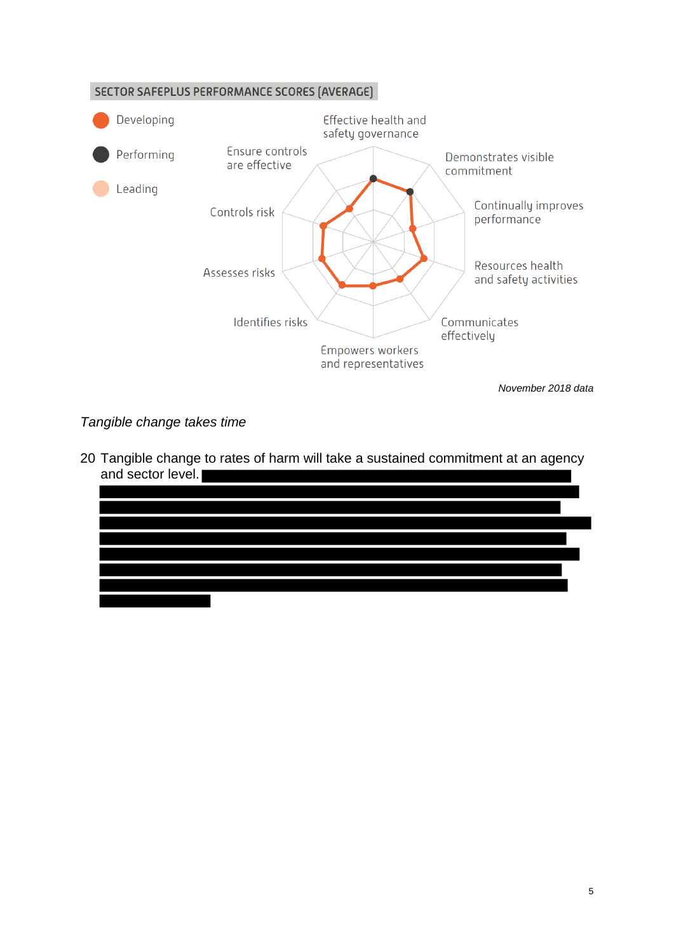

# *Tangible change takes time*

20 Tangible change to rates of harm will take a sustained commitment at an agency and sector level.

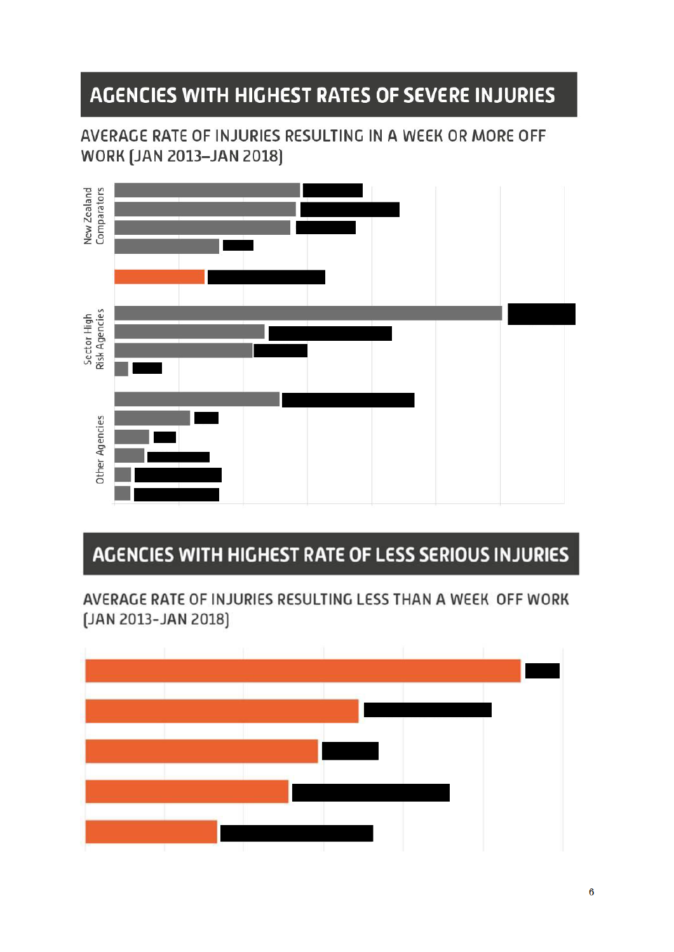# AGENCIES WITH HIGHEST RATES OF SEVERE INJURIES

AVERAGE RATE OF INJURIES RESULTING IN A WEEK OR MORE OFF **WORK [JAN 2013-JAN 2018]** 



# AGENCIES WITH HIGHEST RATE OF LESS SERIOUS INJURIES

AVERAGE RATE OF INJURIES RESULTING LESS THAN A WEEK OFF WORK [JAN 2013-JAN 2018]

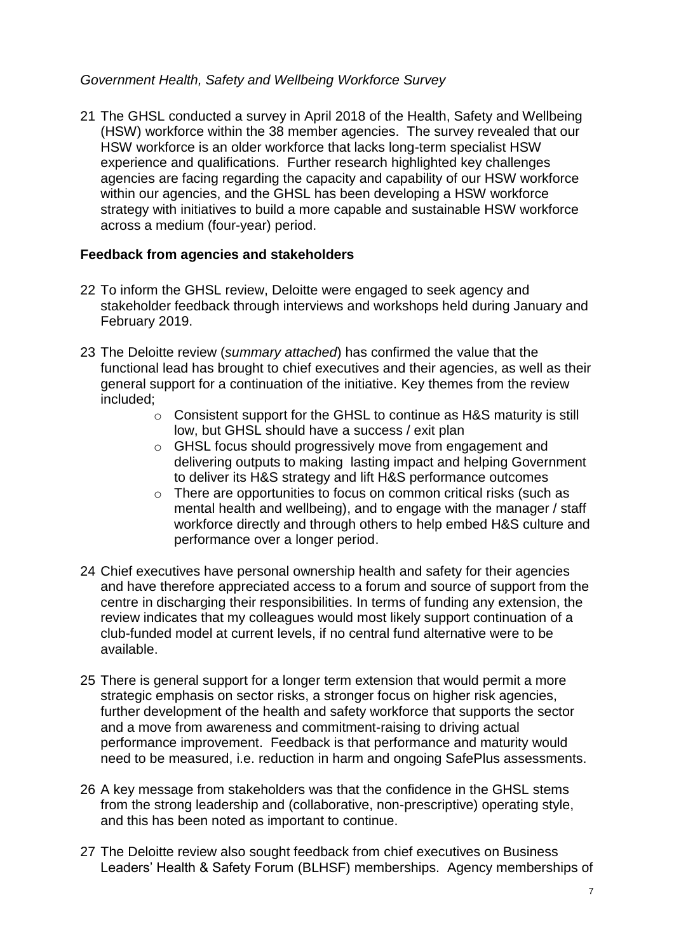# *Government Health, Safety and Wellbeing Workforce Survey*

21 The GHSL conducted a survey in April 2018 of the Health, Safety and Wellbeing (HSW) workforce within the 38 member agencies. The survey revealed that our HSW workforce is an older workforce that lacks long-term specialist HSW experience and qualifications. Further research highlighted key challenges agencies are facing regarding the capacity and capability of our HSW workforce within our agencies, and the GHSL has been developing a HSW workforce strategy with initiatives to build a more capable and sustainable HSW workforce across a medium (four-year) period.

# **Feedback from agencies and stakeholders**

- 22 To inform the GHSL review, Deloitte were engaged to seek agency and stakeholder feedback through interviews and workshops held during January and February 2019.
- 23 The Deloitte review (*summary attached*) has confirmed the value that the functional lead has brought to chief executives and their agencies, as well as their general support for a continuation of the initiative. Key themes from the review included;
	- $\circ$  Consistent support for the GHSL to continue as H&S maturity is still low, but GHSL should have a success / exit plan
	- o GHSL focus should progressively move from engagement and delivering outputs to making lasting impact and helping Government to deliver its H&S strategy and lift H&S performance outcomes
	- o There are opportunities to focus on common critical risks (such as mental health and wellbeing), and to engage with the manager / staff workforce directly and through others to help embed H&S culture and performance over a longer period.
- 24 Chief executives have personal ownership health and safety for their agencies and have therefore appreciated access to a forum and source of support from the centre in discharging their responsibilities. In terms of funding any extension, the review indicates that my colleagues would most likely support continuation of a club-funded model at current levels, if no central fund alternative were to be available.
- 25 There is general support for a longer term extension that would permit a more strategic emphasis on sector risks, a stronger focus on higher risk agencies, further development of the health and safety workforce that supports the sector and a move from awareness and commitment-raising to driving actual performance improvement. Feedback is that performance and maturity would need to be measured, i.e. reduction in harm and ongoing SafePlus assessments.
- 26 A key message from stakeholders was that the confidence in the GHSL stems from the strong leadership and (collaborative, non-prescriptive) operating style, and this has been noted as important to continue.
- 27 The Deloitte review also sought feedback from chief executives on Business Leaders' Health & Safety Forum (BLHSF) memberships. Agency memberships of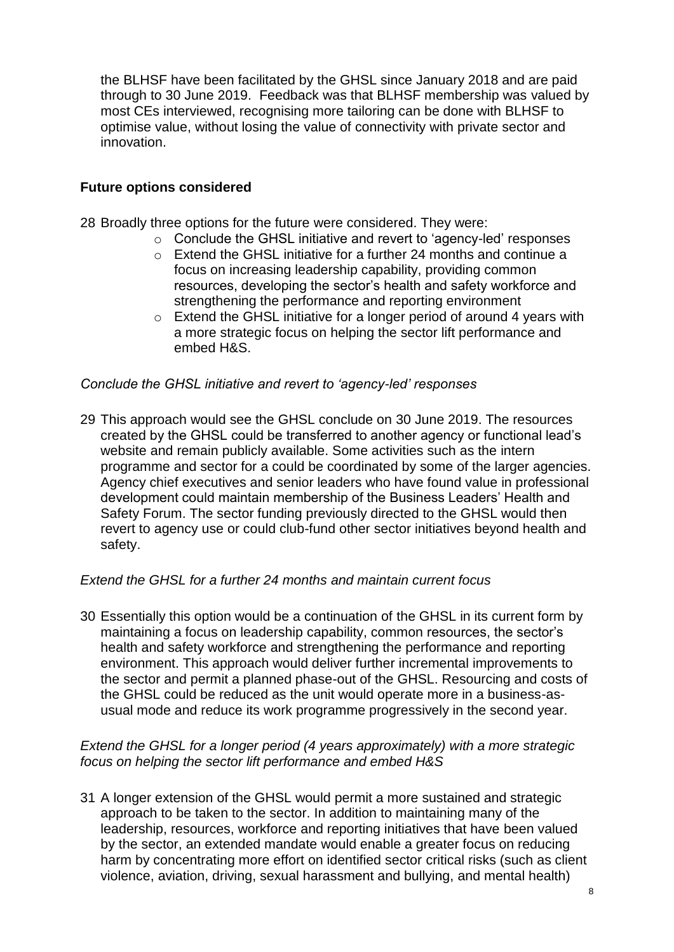the BLHSF have been facilitated by the GHSL since January 2018 and are paid through to 30 June 2019. Feedback was that BLHSF membership was valued by most CEs interviewed, recognising more tailoring can be done with BLHSF to optimise value, without losing the value of connectivity with private sector and innovation.

# **Future options considered**

28 Broadly three options for the future were considered. They were:

- o Conclude the GHSL initiative and revert to 'agency-led' responses
- o Extend the GHSL initiative for a further 24 months and continue a focus on increasing leadership capability, providing common resources, developing the sector's health and safety workforce and strengthening the performance and reporting environment
- o Extend the GHSL initiative for a longer period of around 4 years with a more strategic focus on helping the sector lift performance and embed H&S.

### *Conclude the GHSL initiative and revert to 'agency-led' responses*

29 This approach would see the GHSL conclude on 30 June 2019. The resources created by the GHSL could be transferred to another agency or functional lead's website and remain publicly available. Some activities such as the intern programme and sector for a could be coordinated by some of the larger agencies. Agency chief executives and senior leaders who have found value in professional development could maintain membership of the Business Leaders' Health and Safety Forum. The sector funding previously directed to the GHSL would then revert to agency use or could club-fund other sector initiatives beyond health and safety.

### *Extend the GHSL for a further 24 months and maintain current focus*

30 Essentially this option would be a continuation of the GHSL in its current form by maintaining a focus on leadership capability, common resources, the sector's health and safety workforce and strengthening the performance and reporting environment. This approach would deliver further incremental improvements to the sector and permit a planned phase-out of the GHSL. Resourcing and costs of the GHSL could be reduced as the unit would operate more in a business-asusual mode and reduce its work programme progressively in the second year.

### *Extend the GHSL for a longer period (4 years approximately) with a more strategic focus on helping the sector lift performance and embed H&S*

31 A longer extension of the GHSL would permit a more sustained and strategic approach to be taken to the sector. In addition to maintaining many of the leadership, resources, workforce and reporting initiatives that have been valued by the sector, an extended mandate would enable a greater focus on reducing harm by concentrating more effort on identified sector critical risks (such as client violence, aviation, driving, sexual harassment and bullying, and mental health)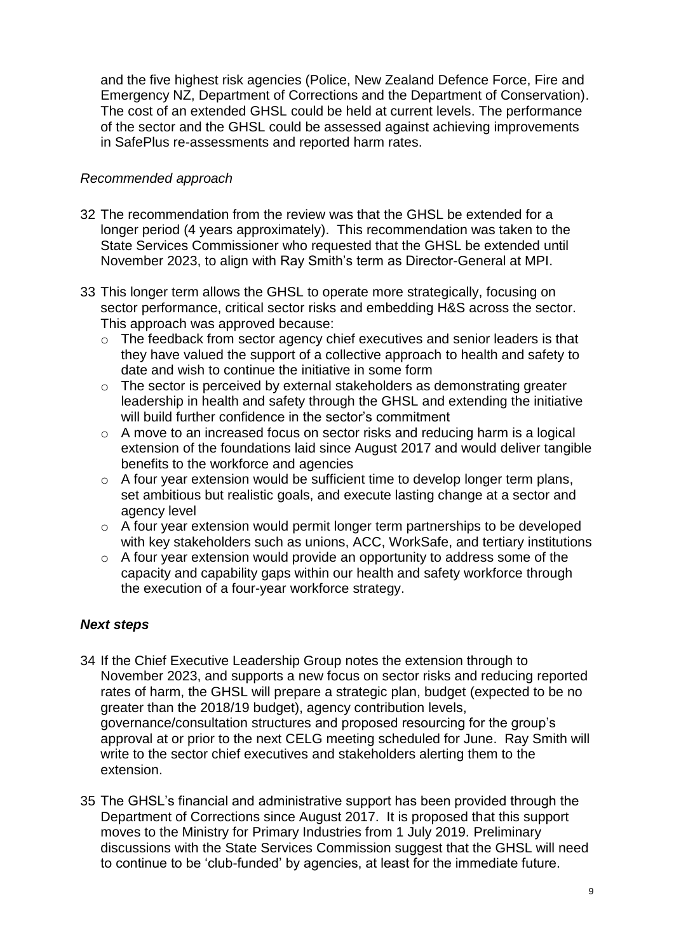and the five highest risk agencies (Police, New Zealand Defence Force, Fire and Emergency NZ, Department of Corrections and the Department of Conservation). The cost of an extended GHSL could be held at current levels. The performance of the sector and the GHSL could be assessed against achieving improvements in SafePlus re-assessments and reported harm rates.

# *Recommended approach*

- 32 The recommendation from the review was that the GHSL be extended for a longer period (4 years approximately). This recommendation was taken to the State Services Commissioner who requested that the GHSL be extended until November 2023, to align with Ray Smith's term as Director-General at MPI.
- 33 This longer term allows the GHSL to operate more strategically, focusing on sector performance, critical sector risks and embedding H&S across the sector. This approach was approved because:
	- o The feedback from sector agency chief executives and senior leaders is that they have valued the support of a collective approach to health and safety to date and wish to continue the initiative in some form
	- o The sector is perceived by external stakeholders as demonstrating greater leadership in health and safety through the GHSL and extending the initiative will build further confidence in the sector's commitment
	- o A move to an increased focus on sector risks and reducing harm is a logical extension of the foundations laid since August 2017 and would deliver tangible benefits to the workforce and agencies
	- $\circ$  A four year extension would be sufficient time to develop longer term plans, set ambitious but realistic goals, and execute lasting change at a sector and agency level
	- o A four year extension would permit longer term partnerships to be developed with key stakeholders such as unions, ACC, WorkSafe, and tertiary institutions
	- o A four year extension would provide an opportunity to address some of the capacity and capability gaps within our health and safety workforce through the execution of a four-year workforce strategy.

# *Next steps*

- 34 If the Chief Executive Leadership Group notes the extension through to November 2023, and supports a new focus on sector risks and reducing reported rates of harm, the GHSL will prepare a strategic plan, budget (expected to be no greater than the 2018/19 budget), agency contribution levels, governance/consultation structures and proposed resourcing for the group's approval at or prior to the next CELG meeting scheduled for June. Ray Smith will write to the sector chief executives and stakeholders alerting them to the extension.
- 35 The GHSL's financial and administrative support has been provided through the Department of Corrections since August 2017. It is proposed that this support moves to the Ministry for Primary Industries from 1 July 2019. Preliminary discussions with the State Services Commission suggest that the GHSL will need to continue to be 'club-funded' by agencies, at least for the immediate future.